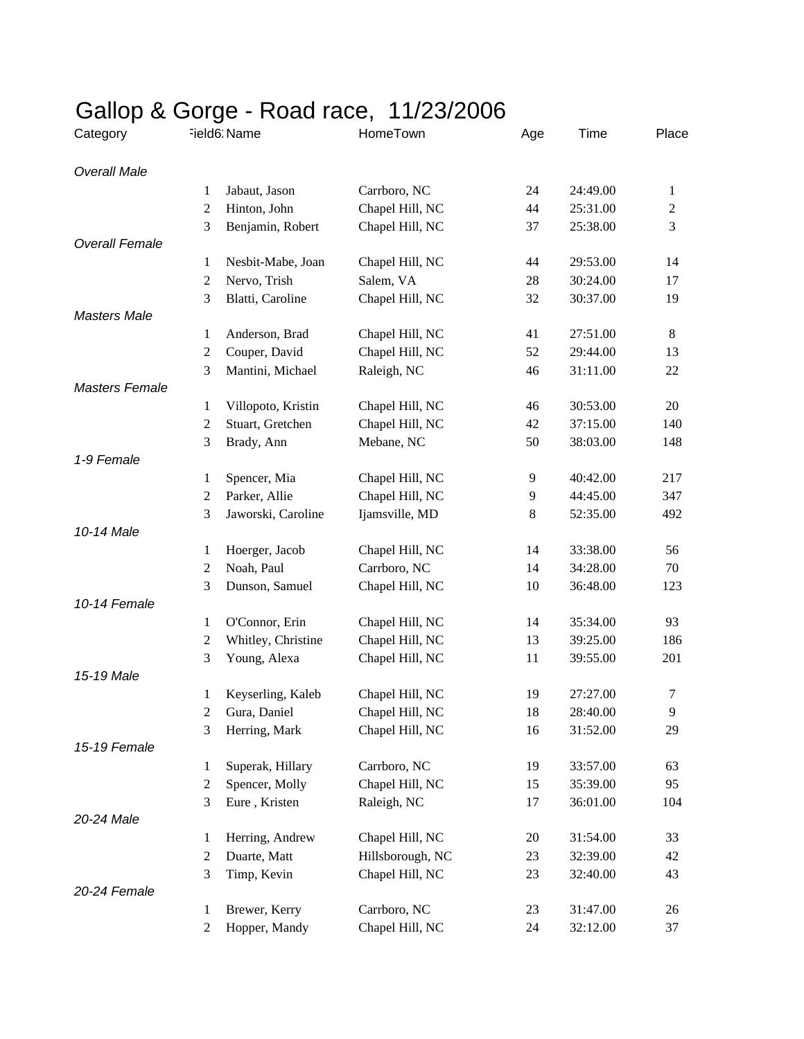| Category              | J<br>Field6: Name |                    | HomeTown         | Age | Time     | Place          |
|-----------------------|-------------------|--------------------|------------------|-----|----------|----------------|
| <b>Overall Male</b>   |                   |                    |                  |     |          |                |
|                       | 1                 | Jabaut, Jason      | Carrboro, NC     | 24  | 24:49.00 | 1              |
|                       | $\overline{c}$    | Hinton, John       | Chapel Hill, NC  | 44  | 25:31.00 | $\overline{c}$ |
|                       | 3                 | Benjamin, Robert   | Chapel Hill, NC  | 37  | 25:38.00 | 3              |
| <b>Overall Female</b> |                   |                    |                  |     |          |                |
|                       | 1                 | Nesbit-Mabe, Joan  | Chapel Hill, NC  | 44  | 29:53.00 | 14             |
|                       | $\overline{c}$    | Nervo, Trish       | Salem, VA        | 28  | 30:24.00 | 17             |
|                       | 3                 | Blatti, Caroline   | Chapel Hill, NC  | 32  | 30:37.00 | 19             |
| <b>Masters Male</b>   |                   |                    |                  |     |          |                |
|                       | 1                 | Anderson, Brad     | Chapel Hill, NC  | 41  | 27:51.00 | 8              |
|                       | $\boldsymbol{2}$  | Couper, David      | Chapel Hill, NC  | 52  | 29:44.00 | 13             |
|                       | 3                 | Mantini, Michael   | Raleigh, NC      | 46  | 31:11.00 | 22             |
| <b>Masters Female</b> |                   |                    |                  |     |          |                |
|                       | 1                 | Villopoto, Kristin | Chapel Hill, NC  | 46  | 30:53.00 | 20             |
|                       | $\boldsymbol{2}$  | Stuart, Gretchen   | Chapel Hill, NC  | 42  | 37:15.00 | 140            |
|                       | 3                 | Brady, Ann         | Mebane, NC       | 50  | 38:03.00 | 148            |
| 1-9 Female            |                   |                    |                  |     |          |                |
|                       | 1                 | Spencer, Mia       | Chapel Hill, NC  | 9   | 40:42.00 | 217            |
|                       | $\boldsymbol{2}$  | Parker, Allie      | Chapel Hill, NC  | 9   | 44:45.00 | 347            |
|                       | 3                 | Jaworski, Caroline | Ijamsville, MD   | 8   | 52:35.00 | 492            |
| 10-14 Male            |                   |                    |                  |     |          |                |
|                       | 1                 | Hoerger, Jacob     | Chapel Hill, NC  | 14  | 33:38.00 | 56             |
|                       | 2                 | Noah, Paul         | Carrboro, NC     | 14  | 34:28.00 | 70             |
|                       | 3                 | Dunson, Samuel     | Chapel Hill, NC  | 10  | 36:48.00 | 123            |
| 10-14 Female          |                   |                    |                  |     |          |                |
|                       | $\mathbf{1}$      | O'Connor, Erin     | Chapel Hill, NC  | 14  | 35:34.00 | 93             |
|                       | $\boldsymbol{2}$  | Whitley, Christine | Chapel Hill, NC  | 13  | 39:25.00 | 186            |
|                       | 3                 | Young, Alexa       | Chapel Hill, NC  | 11  | 39:55.00 | 201            |
| 15-19 Male            |                   |                    |                  |     |          |                |
|                       | 1                 | Keyserling, Kaleb  | Chapel Hill, NC  | 19  | 27:27.00 | $\tau$         |
|                       | 2                 | Gura, Daniel       | Chapel Hill, NC  | 18  | 28:40.00 | 9              |
|                       | 3                 | Herring, Mark      | Chapel Hill, NC  | 16  | 31:52.00 | 29             |
| 15-19 Female          |                   |                    |                  |     |          |                |
|                       | 1                 | Superak, Hillary   | Carrboro, NC     | 19  | 33:57.00 | 63             |
|                       | $\boldsymbol{2}$  | Spencer, Molly     | Chapel Hill, NC  | 15  | 35:39.00 | 95             |
|                       | 3                 | Eure, Kristen      | Raleigh, NC      | 17  | 36:01.00 | 104            |
| 20-24 Male            |                   |                    |                  |     |          |                |
|                       | 1                 | Herring, Andrew    | Chapel Hill, NC  | 20  | 31:54.00 | 33             |
|                       | $\overline{c}$    | Duarte, Matt       | Hillsborough, NC | 23  | 32:39.00 | 42             |
|                       | 3                 | Timp, Kevin        | Chapel Hill, NC  | 23  | 32:40.00 | 43             |
| 20-24 Female          |                   |                    |                  |     |          |                |
|                       | 1                 | Brewer, Kerry      | Carrboro, NC     | 23  | 31:47.00 | 26             |
|                       | $\overline{2}$    | Hopper, Mandy      | Chapel Hill, NC  | 24  | 32:12.00 | 37             |

## Gallop & Gorge - Road race, 11/23/2006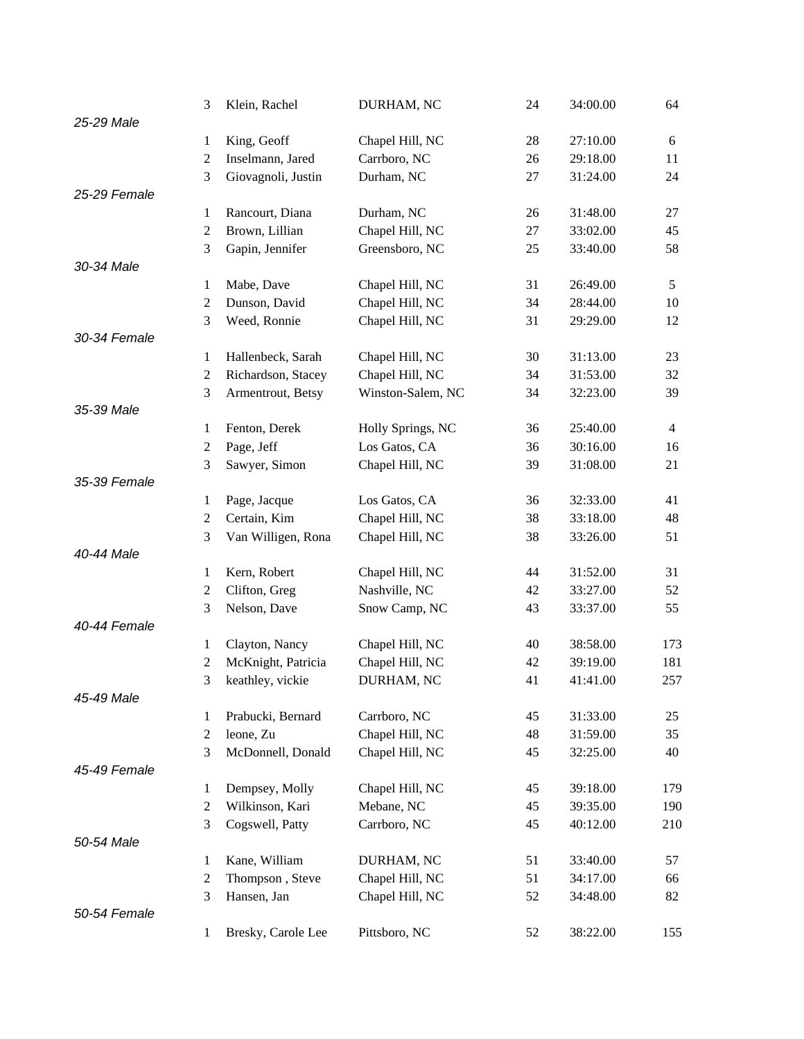|              | 3                | Klein, Rachel      | DURHAM, NC        | 24 | 34:00.00 | 64             |
|--------------|------------------|--------------------|-------------------|----|----------|----------------|
| 25-29 Male   |                  |                    |                   |    |          |                |
|              | 1                | King, Geoff        | Chapel Hill, NC   | 28 | 27:10.00 | 6              |
|              | $\boldsymbol{2}$ | Inselmann, Jared   | Carrboro, NC      | 26 | 29:18.00 | 11             |
|              | 3                | Giovagnoli, Justin | Durham, NC        | 27 | 31:24.00 | 24             |
| 25-29 Female |                  |                    |                   |    |          |                |
|              | 1                | Rancourt, Diana    | Durham, NC        | 26 | 31:48.00 | 27             |
|              | $\overline{c}$   | Brown, Lillian     | Chapel Hill, NC   | 27 | 33:02.00 | 45             |
|              | 3                | Gapin, Jennifer    | Greensboro, NC    | 25 | 33:40.00 | 58             |
| 30-34 Male   |                  |                    |                   |    |          |                |
|              | 1                | Mabe, Dave         | Chapel Hill, NC   | 31 | 26:49.00 | 5              |
|              | $\boldsymbol{2}$ | Dunson, David      | Chapel Hill, NC   | 34 | 28:44.00 | 10             |
|              | 3                | Weed, Ronnie       | Chapel Hill, NC   | 31 | 29:29.00 | 12             |
| 30-34 Female |                  |                    |                   |    |          |                |
|              | 1                | Hallenbeck, Sarah  | Chapel Hill, NC   | 30 | 31:13.00 | 23             |
|              | $\overline{c}$   | Richardson, Stacey | Chapel Hill, NC   | 34 | 31:53.00 | 32             |
| 35-39 Male   | 3                | Armentrout, Betsy  | Winston-Salem, NC | 34 | 32:23.00 | 39             |
|              | 1                | Fenton, Derek      | Holly Springs, NC | 36 | 25:40.00 | $\overline{4}$ |
|              | $\overline{c}$   | Page, Jeff         | Los Gatos, CA     | 36 | 30:16.00 | 16             |
|              | 3                | Sawyer, Simon      | Chapel Hill, NC   | 39 | 31:08.00 | 21             |
| 35-39 Female |                  |                    |                   |    |          |                |
|              | 1                | Page, Jacque       | Los Gatos, CA     | 36 | 32:33.00 | 41             |
|              | $\mathbf{2}$     | Certain, Kim       | Chapel Hill, NC   | 38 | 33:18.00 | 48             |
|              | 3                | Van Willigen, Rona | Chapel Hill, NC   | 38 | 33:26.00 | 51             |
| 40-44 Male   |                  |                    |                   |    |          |                |
|              | 1                | Kern, Robert       | Chapel Hill, NC   | 44 | 31:52.00 | 31             |
|              | $\overline{c}$   | Clifton, Greg      | Nashville, NC     | 42 | 33:27.00 | 52             |
|              | 3                | Nelson, Dave       | Snow Camp, NC     | 43 | 33:37.00 | 55             |
| 40-44 Female |                  |                    |                   |    |          |                |
|              | 1                | Clayton, Nancy     | Chapel Hill, NC   | 40 | 38:58.00 | 173            |
|              | $\mathfrak{2}$   | McKnight, Patricia | Chapel Hill, NC   | 42 | 39:19.00 | 181            |
|              | 3                | keathley, vickie   | DURHAM, NC        | 41 | 41:41.00 | 257            |
| 45-49 Male   |                  |                    |                   |    |          |                |
|              | 1                | Prabucki, Bernard  | Carrboro, NC      | 45 | 31:33.00 | 25             |
|              | $\boldsymbol{2}$ | leone, Zu          | Chapel Hill, NC   | 48 | 31:59.00 | 35             |
|              | 3                | McDonnell, Donald  | Chapel Hill, NC   | 45 | 32:25.00 | 40             |
| 45-49 Female |                  |                    |                   |    |          |                |
|              | 1                | Dempsey, Molly     | Chapel Hill, NC   | 45 | 39:18.00 | 179            |
|              | $\boldsymbol{2}$ | Wilkinson, Kari    | Mebane, NC        | 45 | 39:35.00 | 190            |
|              | 3                | Cogswell, Patty    | Carrboro, NC      | 45 | 40:12.00 | 210            |
| 50-54 Male   |                  |                    |                   |    |          |                |
|              | 1                | Kane, William      | DURHAM, NC        | 51 | 33:40.00 | 57             |
|              | $\overline{c}$   | Thompson, Steve    | Chapel Hill, NC   | 51 | 34:17.00 | 66             |
| 50-54 Female | 3                | Hansen, Jan        | Chapel Hill, NC   | 52 | 34:48.00 | 82             |
|              | 1                |                    | Pittsboro, NC     | 52 | 38:22.00 | 155            |
|              |                  | Bresky, Carole Lee |                   |    |          |                |